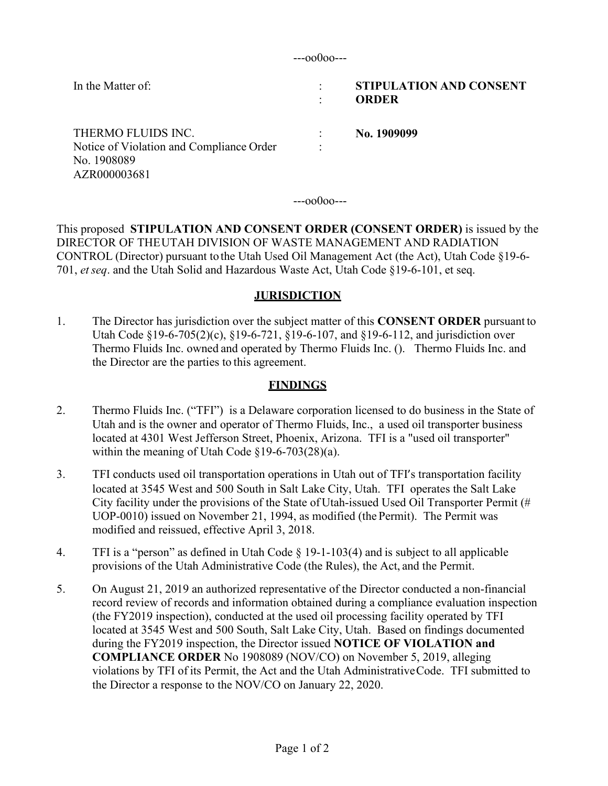---oo0oo---

| In the Matter of:                                                                             | ٠         | <b>STIPULATION AND CONSENT</b><br><b>ORDER</b> |
|-----------------------------------------------------------------------------------------------|-----------|------------------------------------------------|
| THERMO FLUIDS INC.<br>Notice of Violation and Compliance Order<br>No. 1908089<br>AZR000003681 | $\bullet$ | No. 1909099                                    |

---oo0oo---

This proposed **STIPULATION AND CONSENT ORDER (CONSENT ORDER)** is issued by the DIRECTOR OF THEUTAH DIVISION OF WASTE MANAGEMENT AND RADIATION CONTROL (Director) pursuant to the Utah Used Oil Management Act (the Act), Utah Code §19-6- 701, *etseq*. and the Utah Solid and Hazardous Waste Act, Utah Code §19-6-101, et seq.

### **JURISDICTION**

1. The Director has jurisdiction over the subject matter of this **CONSENT ORDER** pursuant to Utah Code §19-6-705(2)(c), §19-6-721, §19-6-107, and §19-6-112, and jurisdiction over Thermo Fluids Inc. owned and operated by Thermo Fluids Inc. (). Thermo Fluids Inc. and the Director are the parties to this agreement.

# **FINDINGS**

- 2. Thermo Fluids Inc. ("TFI") is a Delaware corporation licensed to do business in the State of Utah and is the owner and operator of Thermo Fluids, Inc., a used oil transporter business located at 4301 West Jefferson Street, Phoenix, Arizona. TFI is a "used oil transporter" within the meaning of Utah Code §19-6-703(28)(a).
- 3. TFI conducts used oil transportation operations in Utah out of TFI's transportation facility located at 3545 West and 500 South in Salt Lake City, Utah. TFI operates the Salt Lake City facility under the provisions of the State of Utah-issued Used Oil Transporter Permit (# UOP-0010) issued on November 21, 1994, as modified (the Permit). The Permit was modified and reissued, effective April 3, 2018.
- 4. TFI is a "person" as defined in Utah Code § 19-1-103(4) and is subject to all applicable provisions of the Utah Administrative Code (the Rules), the Act, and the Permit.
- 5. On August 21, 2019 an authorized representative of the Director conducted a non-financial record review of records and information obtained during a compliance evaluation inspection (the FY2019 inspection), conducted at the used oil processing facility operated by TFI located at 3545 West and 500 South, Salt Lake City, Utah. Based on findings documented during the FY2019 inspection, the Director issued **NOTICE OF VIOLATION and COMPLIANCE ORDER** No 1908089 (NOV/CO) on November 5, 2019, alleging violations by TFI of its Permit, the Act and the Utah AdministrativeCode. TFI submitted to the Director a response to the NOV/CO on January 22, 2020.